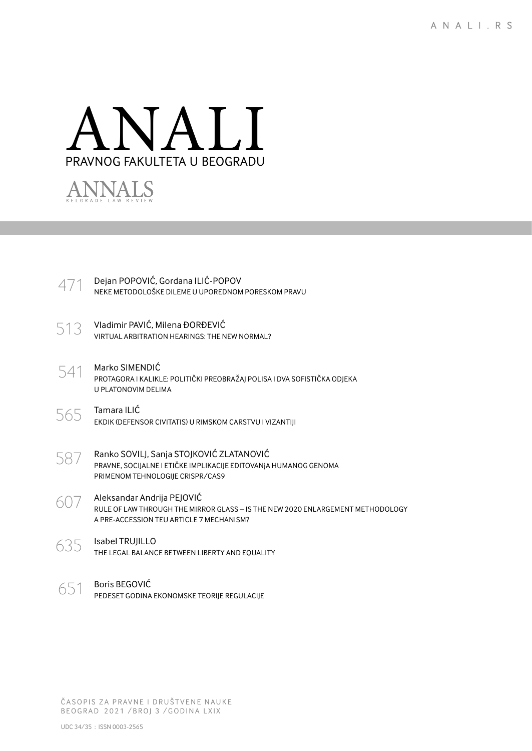



| $471$ Dejan POPOVIĆ, Gordana ILIĆ-POPOV<br>NEKE METODOLOŠKE DILEME U UPOREDNOM PORESKOM PRAVU |
|-----------------------------------------------------------------------------------------------|
|                                                                                               |

- 513 Vladimir PAVIĆ, Milena ĐORĐEVIĆ VIRTUAL ARBITRATION HEARINGS: THE NEW NORMAL?
- 541 Marko SIMENDIĆ PROTAGORA I KALIKLE: POLITIČKI PREOBRAŽAJ POLISA I DVA SOFISTIČKA ODJEKA U PLATONOVIM DELIMA
- $565$  Tamara ILIĆ EKDIK (DEFENSOR CIVITATIS) U RIMSKOM CARSTVU I VIZANTIJI
- $587$  Ranko SOVILJ, Sanja STOJKOVIĆ ZLATANOVIĆ PRAVNE, SOCIJALNE I ETIČKE IMPLIKACIJE EDITOVANJA HUMANOG GENOMA PRIMENOM TEHNOLOGIJE CRISPR/CAS9
- 607 Aleksandar Andrija PEJOVIĆ RULE OF LAW THROUGH THE MIRROR GLASS – IS THE NEW 2020 ENLARGEMENT METHODOLOGY A PRE-ACCESSION TEU ARTICLE 7 MECHANISM?
- 635 Isabel TRUJILLO THE LEGAL BALANCE BETWEEN LIBERTY AND EQUALITY
- 651 Boris BEGOVIĆ PEDESET GODINA EKONOMSKE TEORIJE REGULACIJE

ČASOPIS ZA PRAVNE I DRUŠTVENE NAUKE BEOGRAD 2021 / BROJ 3 / GODINA LXIX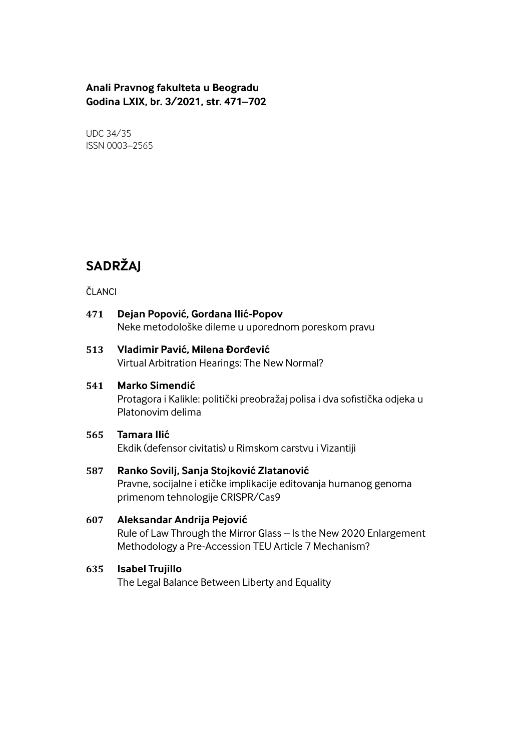# **Anali Pravnog fakulteta u Beogradu Godina LXIX, br. 3/2021, str. 471–702**

UDC 34/35 ISSN 0003–2565

# **SADRŽAJ**

#### ČLANCI

# **471 Dejan Popović, Gordana Ilić-Popov** Neke metodološke dileme u uporednom poreskom pravu

#### **513 Vladimir Pavić, Milena Đorđević** Virtual Arbitration Hearings: The New Normal?

# **541 Marko Simendić**

Protagora i Kalikle: politički preobražaj polisa i dva sofistička odjeka u Platonovim delima

## **565 Tamara Ilić**

Ekdik (defensor civitatis) u Rimskom carstvu i Vizantiji

### **587 Ranko Sovilj, Sanja Stojković Zlatanović**

Pravne, socijalne i etičke implikacije editovanja humanog genoma primenom tehnologije CRISPR/Cas9

# **607 Aleksandar Andrija Pejović**

Rule of Law Through the Mirror Glass – Is the New 2020 Enlargement Methodology a Pre-Accession TEU Article 7 Mechanism?

# **635 Isabel Trujillo**

The Legal Balance Between Liberty and Equality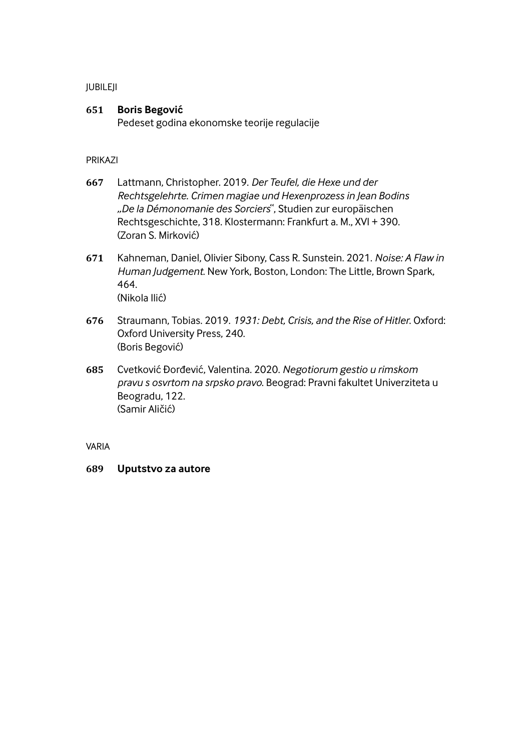#### JUBILEJI

### **651 Boris Begović**

Pedeset godina ekonomske teorije regulacije

#### PRIKAZI

- **667** Lattmann, Christopher. 2019. *Der Teufel, die Hexe und der Rechtsgelehrte. Crimen magiae und Hexenprozess in Jean Bodins "De la Démonomanie des Sorciers* , Studien zur europäischen Rechtsgeschichte, 318. Klostermann: Frankfurt a. M., XVI + 390. (Zoran S. Mirković)
- **671** Kahneman, Daniel, Olivier Sibony, Cass R. Sunstein. 2021. *Noise: A Flaw in Human Judgement*. New York, Boston, London: The Little, Brown Spark, 464. (Nikola Ilić)
- **676** Straumann, Tobias. 2019. *1931: Debt, Crisis, and the Rise of Hitler*. Oxford: Oxford University Press, 240. (Boris Begović)
- **685** Cvetković Đorđević, Valentina. 2020. *Negotiorum gestio u rimskom pravu s osvrtom na srpsko pravo*. Beograd: Pravni fakultet Univerziteta u Beogradu, 122. (Samir Aličić)

VARIA

#### **689 Uputstvo za autore**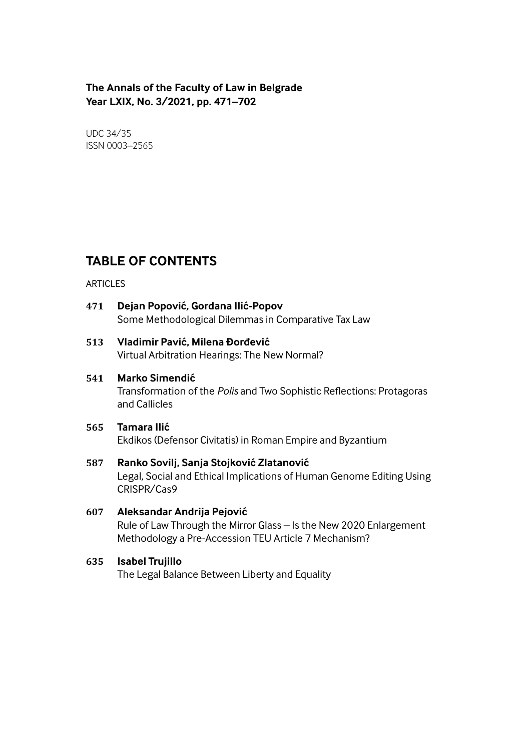# **The Annals of the Faculty of Law in Belgrade Year LXIX, No. 3/2021, pp. 471–702**

UDC 34/35 ISSN 0003–2565

# **TABLE OF CONTENTS**

#### **ARTICLES**

**471 Dejan Popović, Gordana Ilić-Popov** Some Methodological Dilemmas in Comparative Tax Law

# **513 Vladimir Pavić, Milena Đorđević**

Virtual Arbitration Hearings: The New Normal?

# **541 Marko Simendić**

Transformation of the *Polis* and Two Sophistic Reflections: Protagoras and Callicles

# **565 Tamara Ilić**

Ekdikos (Defensor Civitatis) in Roman Empire and Byzantium

# **587 Ranko Sovilj, Sanja Stojković Zlatanović** Legal, Social and Ethical Implications of Human Genome Editing Using CRISPR/Cas9

# **607 Aleksandar Andrija Pejović** Rule of Law Through the Mirror Glass – Is the New 2020 Enlargement Methodology a Pre-Accession TEU Article 7 Mechanism?

# **635 Isabel Trujillo**

The Legal Balance Between Liberty and Equality